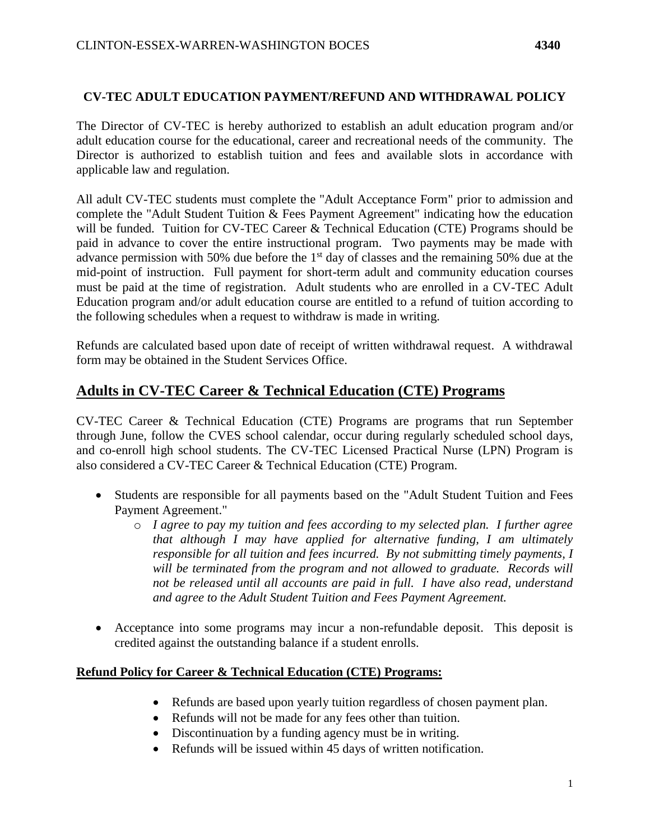### **CV-TEC ADULT EDUCATION PAYMENT/REFUND AND WITHDRAWAL POLICY**

The Director of CV-TEC is hereby authorized to establish an adult education program and/or adult education course for the educational, career and recreational needs of the community. The Director is authorized to establish tuition and fees and available slots in accordance with applicable law and regulation.

All adult CV-TEC students must complete the "Adult Acceptance Form" prior to admission and complete the "Adult Student Tuition & Fees Payment Agreement" indicating how the education will be funded. Tuition for CV-TEC Career & Technical Education (CTE) Programs should be paid in advance to cover the entire instructional program. Two payments may be made with advance permission with 50% due before the 1<sup>st</sup> day of classes and the remaining 50% due at the mid-point of instruction. Full payment for short-term adult and community education courses must be paid at the time of registration. Adult students who are enrolled in a CV-TEC Adult Education program and/or adult education course are entitled to a refund of tuition according to the following schedules when a request to withdraw is made in writing.

Refunds are calculated based upon date of receipt of written withdrawal request. A withdrawal form may be obtained in the Student Services Office.

# **Adults in CV-TEC Career & Technical Education (CTE) Programs**

CV-TEC Career & Technical Education (CTE) Programs are programs that run September through June, follow the CVES school calendar, occur during regularly scheduled school days, and co-enroll high school students. The CV-TEC Licensed Practical Nurse (LPN) Program is also considered a CV-TEC Career & Technical Education (CTE) Program.

- Students are responsible for all payments based on the "Adult Student Tuition and Fees Payment Agreement."
	- o *I agree to pay my tuition and fees according to my selected plan. I further agree that although I may have applied for alternative funding, I am ultimately responsible for all tuition and fees incurred. By not submitting timely payments, I will be terminated from the program and not allowed to graduate. Records will not be released until all accounts are paid in full. I have also read, understand and agree to the Adult Student Tuition and Fees Payment Agreement.*
- Acceptance into some programs may incur a non-refundable deposit. This deposit is credited against the outstanding balance if a student enrolls.

#### **Refund Policy for Career & Technical Education (CTE) Programs:**

- Refunds are based upon yearly tuition regardless of chosen payment plan.
- Refunds will not be made for any fees other than tuition.
- Discontinuation by a funding agency must be in writing.
- Refunds will be issued within 45 days of written notification.